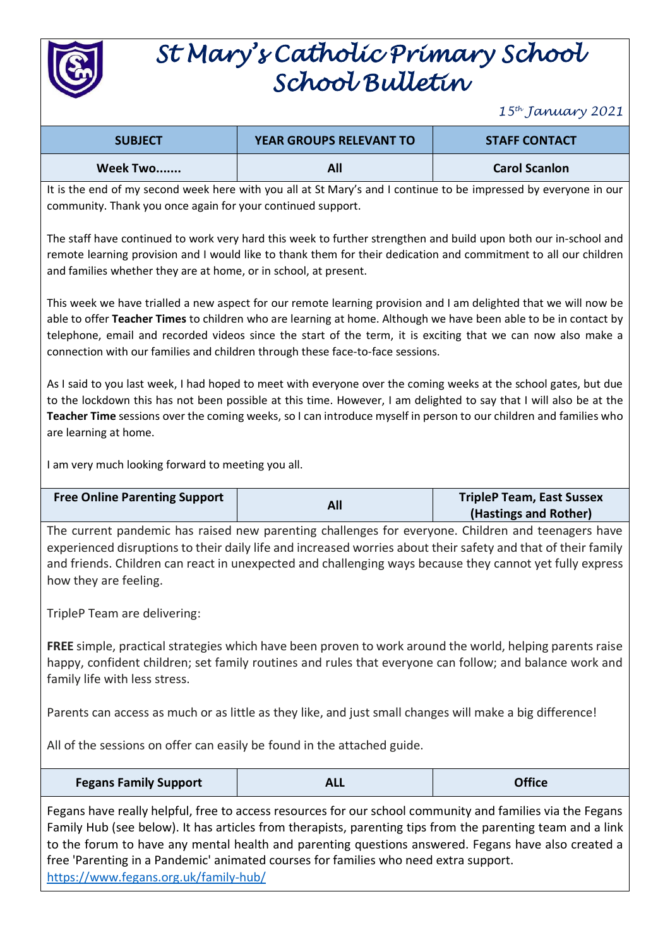

## *St Mary's Catholic Primary School School Bulletin*

*15th January 2021*

| <b>SUBJECT</b> | <b>YEAR GROUPS RELEVANT TO</b> | <b>STAFF CONTACT</b> |
|----------------|--------------------------------|----------------------|
| Week Two       |                                | <b>Carol Scanlon</b> |

It is the end of my second week here with you all at St Mary's and I continue to be impressed by everyone in our community. Thank you once again for your continued support.

The staff have continued to work very hard this week to further strengthen and build upon both our in-school and remote learning provision and I would like to thank them for their dedication and commitment to all our children and families whether they are at home, or in school, at present.

This week we have trialled a new aspect for our remote learning provision and I am delighted that we will now be able to offer **Teacher Times** to children who are learning at home. Although we have been able to be in contact by telephone, email and recorded videos since the start of the term, it is exciting that we can now also make a connection with our families and children through these face-to-face sessions.

As I said to you last week, I had hoped to meet with everyone over the coming weeks at the school gates, but due to the lockdown this has not been possible at this time. However, I am delighted to say that I will also be at the **Teacher Time** sessions over the coming weeks, so I can introduce myself in person to our children and families who are learning at home.

I am very much looking forward to meeting you all.

| <b>Free Online Parenting Support</b> |     | <b>TripleP Team, East Sussex</b> |
|--------------------------------------|-----|----------------------------------|
|                                      | All | (Hastings and Rother)            |

The current pandemic has raised new parenting challenges for everyone. Children and teenagers have experienced disruptions to their daily life and increased worries about their safety and that of their family and friends. Children can react in unexpected and challenging ways because they cannot yet fully express how they are feeling.

TripleP Team are delivering:

**FREE** simple, practical strategies which have been proven to work around the world, helping parents raise happy, confident children; set family routines and rules that everyone can follow; and balance work and family life with less stress.

Parents can access as much or as little as they like, and just small changes will make a big difference!

All of the sessions on offer can easily be found in the attached guide.

| <b>Fegans Family Support</b> | <b>ALL</b> | <b>Office</b> |
|------------------------------|------------|---------------|
|------------------------------|------------|---------------|

Fegans have really helpful, free to access resources for our school community and families via the Fegans Family Hub (see below). It has articles from therapists, parenting tips from the parenting team and a link to the forum to have any mental health and parenting questions answered. Fegans have also created a free 'Parenting in a Pandemic' animated courses for families who need extra support. [https://www.fegans.org.uk/family-hub/](https://www.fegans.org.uk/parent-hub/)